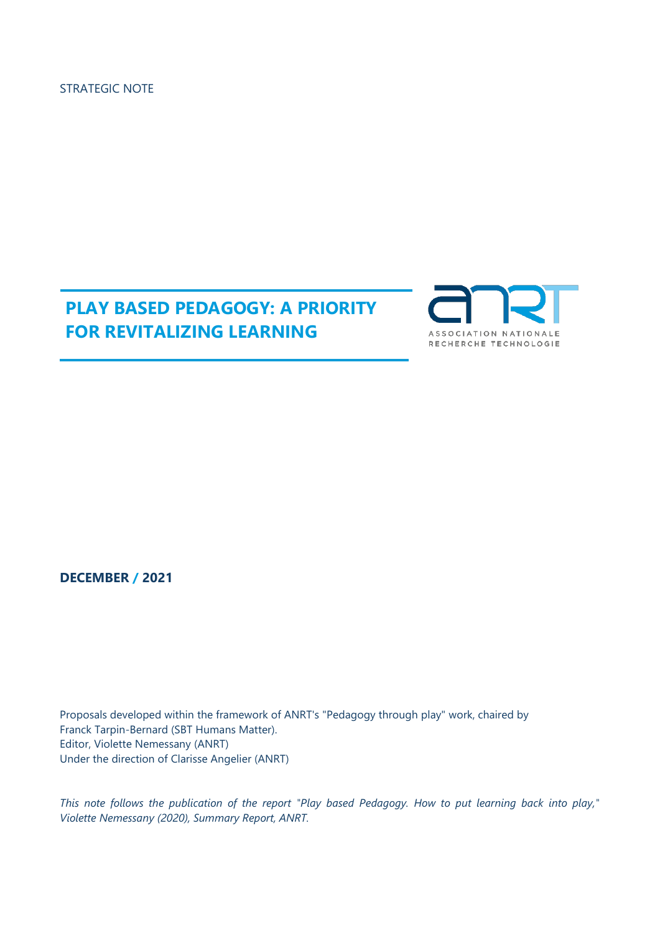STRATEGIC NOTE

# **PLAY BASED PEDAGOGY: A PRIORITY FOR REVITALIZING LEARNING**



**DECEMBER / 2021**

Proposals developed within the framework of ANRT's "Pedagogy through play" work, chaired by Franck Tarpin-Bernard (SBT Humans Matter). Editor, Violette Nemessany (ANRT) Under the direction of Clarisse Angelier (ANRT)

*This note follows the publication of the report "Play based Pedagogy. How to put learning back into play," Violette Nemessany (2020), Summary Report, ANRT.*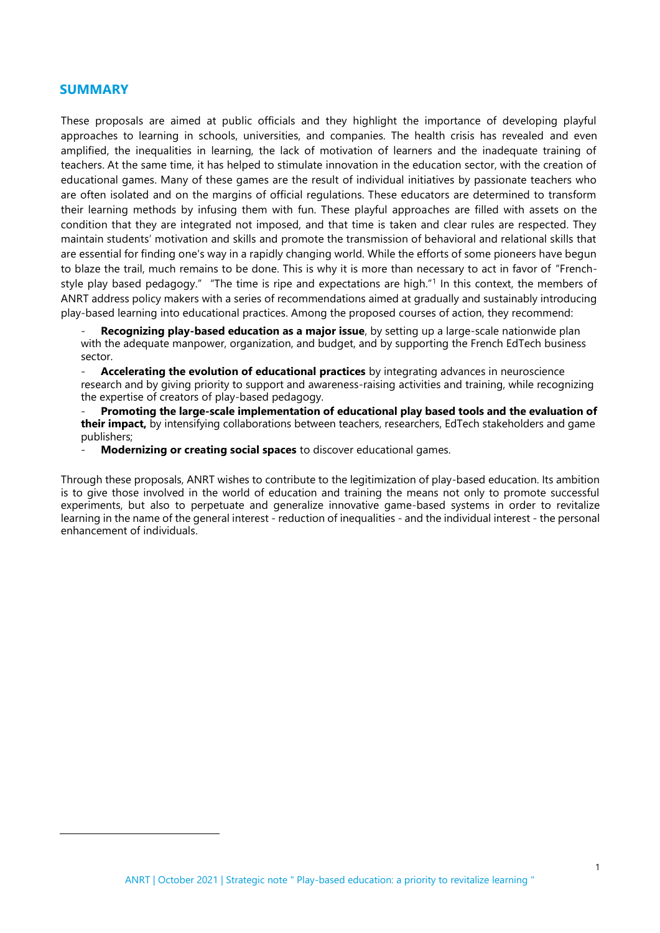# **SUMMARY**

These proposals are aimed at public officials and they highlight the importance of developing playful approaches to learning in schools, universities, and companies. The health crisis has revealed and even amplified, the inequalities in learning, the lack of motivation of learners and the inadequate training of teachers. At the same time, it has helped to stimulate innovation in the education sector, with the creation of educational games. Many of these games are the result of individual initiatives by passionate teachers who are often isolated and on the margins of official regulations. These educators are determined to transform their learning methods by infusing them with fun. These playful approaches are filled with assets on the condition that they are integrated not imposed, and that time is taken and clear rules are respected. They maintain students' motivation and skills and promote the transmission of behavioral and relational skills that are essential for finding one's way in a rapidly changing world. While the efforts of some pioneers have begun to blaze the trail, much remains to be done. This is why it is more than necessary to act in favor of "Frenchstyle play based pedagogy." "The time is ripe and expectations are high."<sup>1</sup> In this context, the members of ANRT address policy makers with a series of recommendations aimed at gradually and sustainably introducing play-based learning into educational practices. Among the proposed courses of action, they recommend:

Recognizing play-based education as a major issue, by setting up a large-scale nationwide plan with the adequate manpower, organization, and budget, and by supporting the French EdTech business sector.

- **Accelerating the evolution of educational practices** by integrating advances in neuroscience research and by giving priority to support and awareness-raising activities and training, while recognizing the expertise of creators of play-based pedagogy.

- **Promoting the large-scale implementation of educational play based tools and the evaluation of their impact,** by intensifying collaborations between teachers, researchers, EdTech stakeholders and game publishers;

- **Modernizing or creating social spaces** to discover educational games.

Through these proposals, ANRT wishes to contribute to the legitimization of play-based education. Its ambition is to give those involved in the world of education and training the means not only to promote successful experiments, but also to perpetuate and generalize innovative game-based systems in order to revitalize learning in the name of the general interest - reduction of inequalities - and the individual interest - the personal enhancement of individuals.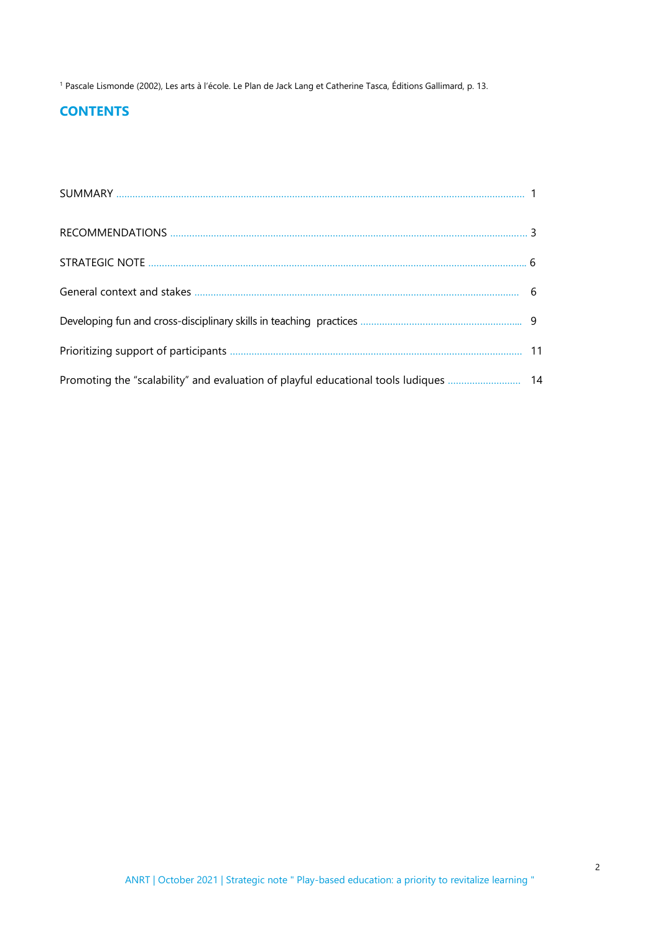<sup>1</sup> Pascale Lismonde (2002), Les arts à l'école. Le Plan de Jack Lang et Catherine Tasca, Éditions Gallimard, p. 13.

# **CONTENTS**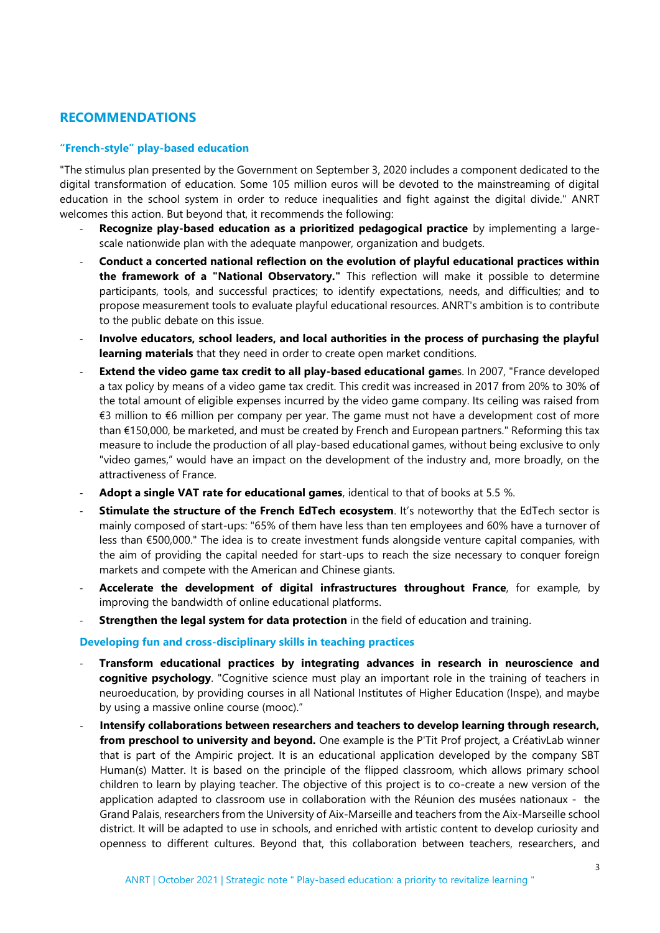# **RECOMMENDATIONS**

## **"French-style" play-based education**

"The stimulus plan presented by the Government on September 3, 2020 includes a component dedicated to the digital transformation of education. Some 105 million euros will be devoted to the mainstreaming of digital education in the school system in order to reduce inequalities and fight against the digital divide." ANRT welcomes this action. But beyond that, it recommends the following:

- **Recognize play-based education as a prioritized pedagogical practice** by implementing a largescale nationwide plan with the adequate manpower, organization and budgets.
- **Conduct a concerted national reflection on the evolution of playful educational practices within the framework of a "National Observatory."** This reflection will make it possible to determine participants, tools, and successful practices; to identify expectations, needs, and difficulties; and to propose measurement tools to evaluate playful educational resources. ANRT's ambition is to contribute to the public debate on this issue.
- **Involve educators, school leaders, and local authorities in the process of purchasing the playful learning materials** that they need in order to create open market conditions.
- **Extend the video game tax credit to all play-based educational game**s. In 2007, "France developed a tax policy by means of a video game tax credit. This credit was increased in 2017 from 20% to 30% of the total amount of eligible expenses incurred by the video game company. Its ceiling was raised from €3 million to €6 million per company per year. The game must not have a development cost of more than €150,000, be marketed, and must be created by French and European partners." Reforming this tax measure to include the production of all play-based educational games, without being exclusive to only "video games," would have an impact on the development of the industry and, more broadly, on the attractiveness of France.
- Adopt a single VAT rate for educational games, identical to that of books at 5.5 %.
- **Stimulate the structure of the French EdTech ecosystem**. It's noteworthy that the EdTech sector is mainly composed of start-ups: "65% of them have less than ten employees and 60% have a turnover of less than €500,000." The idea is to create investment funds alongside venture capital companies, with the aim of providing the capital needed for start-ups to reach the size necessary to conquer foreign markets and compete with the American and Chinese giants.
- Accelerate the development of digital infrastructures throughout France, for example, by improving the bandwidth of online educational platforms.
- **Strengthen the legal system for data protection** in the field of education and training.

#### **Developing fun and cross-disciplinary skills in teaching practices**

- **Transform educational practices by integrating advances in research in neuroscience and cognitive psychology**. "Cognitive science must play an important role in the training of teachers in neuroeducation, by providing courses in all National Institutes of Higher Education (Inspe), and maybe by using a massive online course (mooc)."
- **Intensify collaborations between researchers and teachers to develop learning through research, from preschool to university and beyond.** One example is the P'Tit Prof project, a CréativLab winner that is part of the Ampiric project. It is an educational application developed by the company SBT Human(s) Matter. It is based on the principle of the flipped classroom, which allows primary school children to learn by playing teacher. The objective of this project is to co-create a new version of the application adapted to classroom use in collaboration with the Réunion des musées nationaux - the Grand Palais, researchers from the University of Aix-Marseille and teachers from the Aix-Marseille school district. It will be adapted to use in schools, and enriched with artistic content to develop curiosity and openness to different cultures. Beyond that, this collaboration between teachers, researchers, and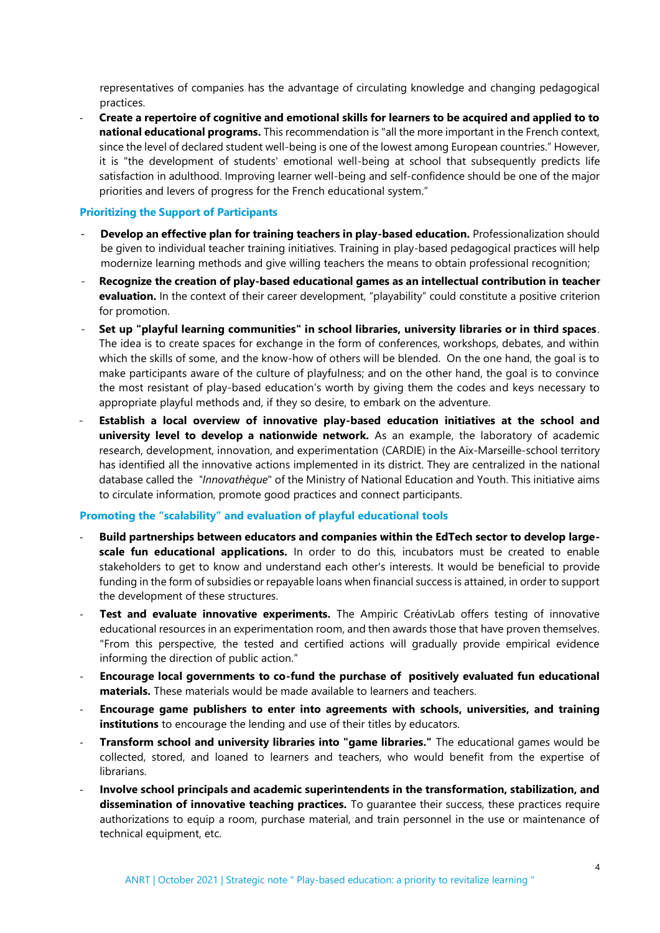representatives of companies has the advantage of circulating knowledge and changing pedagogical practices.

- **Create a repertoire of cognitive and emotional skills for learners to be acquired and applied to to national educational programs.** This recommendation is "all the more important in the French context, since the level of declared student well-being is one of the lowest among European countries." However, it is "the development of students' emotional well-being at school that subsequently predicts life satisfaction in adulthood. Improving learner well-being and self-confidence should be one of the major priorities and levers of progress for the French educational system."

# **Prioritizing the Support of Participants**

- **Develop an effective plan for training teachers in play-based education.** Professionalization should be given to individual teacher training initiatives. Training in play-based pedagogical practices will help modernize learning methods and give willing teachers the means to obtain professional recognition;
- **Recognize the creation of play-based educational games as an intellectual contribution in teacher evaluation.** In the context of their career development, "playability" could constitute a positive criterion for promotion.
- **Set up "playful learning communities" in school libraries, university libraries or in third spaces**. The idea is to create spaces for exchange in the form of conferences, workshops, debates, and within which the skills of some, and the know-how of others will be blended. On the one hand, the goal is to make participants aware of the culture of playfulness; and on the other hand, the goal is to convince the most resistant of play-based education's worth by giving them the codes and keys necessary to appropriate playful methods and, if they so desire, to embark on the adventure.
- **Establish a local overview of innovative play-based education initiatives at the school and university level to develop a nationwide network.** As an example, the laboratory of academic research, development, innovation, and experimentation (CARDIE) in the Aix-Marseille-school territory has identified all the innovative actions implemented in its district. They are centralized in the national database called the *"Innovathèque*" of the Ministry of National Education and Youth. This initiative aims to circulate information, promote good practices and connect participants.

# **Promoting the "scalability" and evaluation of playful educational tools**

- **Build partnerships between educators and companies within the EdTech sector to develop largescale fun educational applications.** In order to do this, incubators must be created to enable stakeholders to get to know and understand each other's interests. It would be beneficial to provide funding in the form of subsidies or repayable loans when financial success is attained, in order to support the development of these structures.
- **Test and evaluate innovative experiments.** The Ampiric CréativLab offers testing of innovative educational resources in an experimentation room, and then awards those that have proven themselves. "From this perspective, the tested and certified actions will gradually provide empirical evidence informing the direction of public action."
- **Encourage local governments to co-fund the purchase of positively evaluated fun educational materials.** These materials would be made available to learners and teachers.
- **Encourage game publishers to enter into agreements with schools, universities, and training institutions** to encourage the lending and use of their titles by educators.
- **Transform school and university libraries into "game libraries."** The educational games would be collected, stored, and loaned to learners and teachers, who would benefit from the expertise of librarians.
- **Involve school principals and academic superintendents in the transformation, stabilization, and dissemination of innovative teaching practices.** To guarantee their success, these practices require authorizations to equip a room, purchase material, and train personnel in the use or maintenance of technical equipment, etc.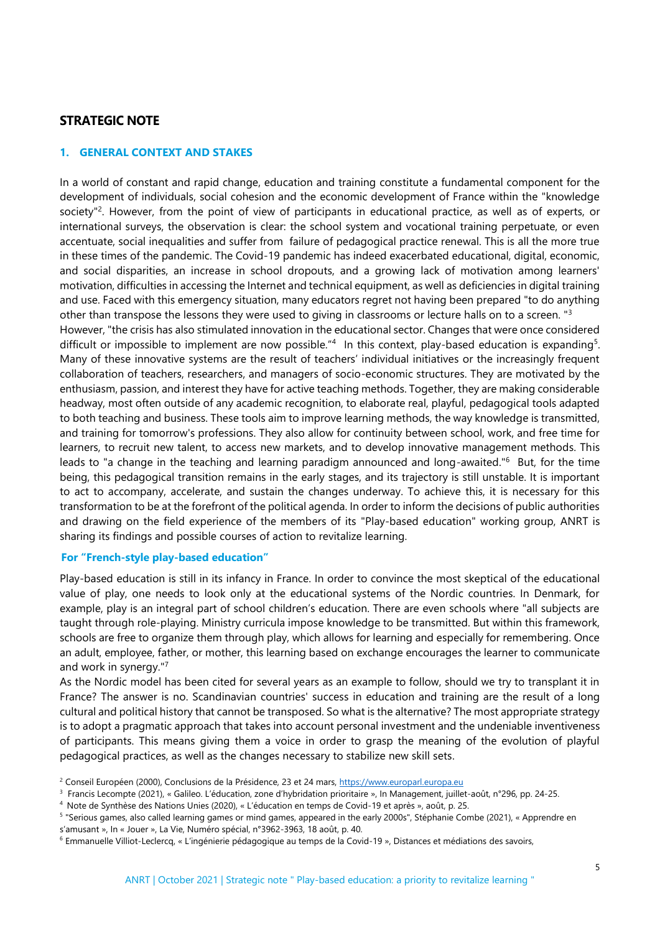# **STRATEGIC NOTE**

# **1. GENERAL CONTEXT AND STAKES**

In a world of constant and rapid change, education and training constitute a fundamental component for the development of individuals, social cohesion and the economic development of France within the "knowledge society<sup>"2</sup>. However, from the point of view of participants in educational practice, as well as of experts, or international surveys, the observation is clear: the school system and vocational training perpetuate, or even accentuate, social inequalities and suffer from failure of pedagogical practice renewal. This is all the more true in these times of the pandemic. The Covid-19 pandemic has indeed exacerbated educational, digital, economic, and social disparities, an increase in school dropouts, and a growing lack of motivation among learners' motivation, difficulties in accessing the Internet and technical equipment, as well as deficiencies in digital training and use. Faced with this emergency situation, many educators regret not having been prepared "to do anything other than transpose the lessons they were used to giving in classrooms or lecture halls on to a screen. "<sup>3</sup> However, "the crisis has also stimulated innovation in the educational sector. Changes that were once considered difficult or impossible to implement are now possible."<sup>4</sup> In this context, play-based education is expanding<sup>5</sup>. Many of these innovative systems are the result of teachers' individual initiatives or the increasingly frequent collaboration of teachers, researchers, and managers of socio-economic structures. They are motivated by the enthusiasm, passion, and interest they have for active teaching methods. Together, they are making considerable headway, most often outside of any academic recognition, to elaborate real, playful, pedagogical tools adapted to both teaching and business. These tools aim to improve learning methods, the way knowledge is transmitted, and training for tomorrow's professions. They also allow for continuity between school, work, and free time for learners, to recruit new talent, to access new markets, and to develop innovative management methods. This leads to "a change in the teaching and learning paradigm announced and long-awaited."<sup>6</sup> But, for the time being, this pedagogical transition remains in the early stages, and its trajectory is still unstable. It is important

to act to accompany, accelerate, and sustain the changes underway. To achieve this, it is necessary for this transformation to be at the forefront of the political agenda. In order to inform the decisions of public authorities and drawing on the field experience of the members of its "Play-based education" working group, ANRT is sharing its findings and possible courses of action to revitalize learning.

## **For "French-style play-based education"**

Play-based education is still in its infancy in France. In order to convince the most skeptical of the educational value of play, one needs to look only at the educational systems of the Nordic countries. In Denmark, for example, play is an integral part of school children's education. There are even schools where "all subjects are taught through role-playing. Ministry curricula impose knowledge to be transmitted. But within this framework, schools are free to organize them through play, which allows for learning and especially for remembering. Once an adult, employee, father, or mother, this learning based on exchange encourages the learner to communicate and work in synergy."<sup>7</sup>

As the Nordic model has been cited for several years as an example to follow, should we try to transplant it in France? The answer is no. Scandinavian countries' success in education and training are the result of a long cultural and political history that cannot be transposed. So what is the alternative? The most appropriate strategy is to adopt a pragmatic approach that takes into account personal investment and the undeniable inventiveness of participants. This means giving them a voice in order to grasp the meaning of the evolution of playful pedagogical practices, as well as the changes necessary to stabilize new skill sets.

<sup>&</sup>lt;sup>2</sup> Conseil Européen (2000), Conclusions de la Présidence, 23 et 24 mars, [https://www.europarl.europa.eu](https://www.europarl.europa.eu/)

<sup>3</sup> Francis Lecompte (2021), « Galileo. L'éducation, zone d'hybridation prioritaire », In Management, juillet-août, n°296, pp. 24-25.

<sup>&</sup>lt;sup>4</sup> Note de Synthèse des Nations Unies (2020), « L'éducation en temps de Covid-19 et après », août, p. 25.

<sup>5</sup> "Serious games, also called learning games or mind games, appeared in the early 2000s", Stéphanie Combe (2021), « Apprendre en s'amusant », In « Jouer », La Vie, Numéro spécial, n°3962-3963, 18 août, p. 40.

<sup>6</sup> Emmanuelle Villiot-Leclercq, « L'ingénierie pédagogique au temps de la Covid-19 », Distances et médiations des savoirs,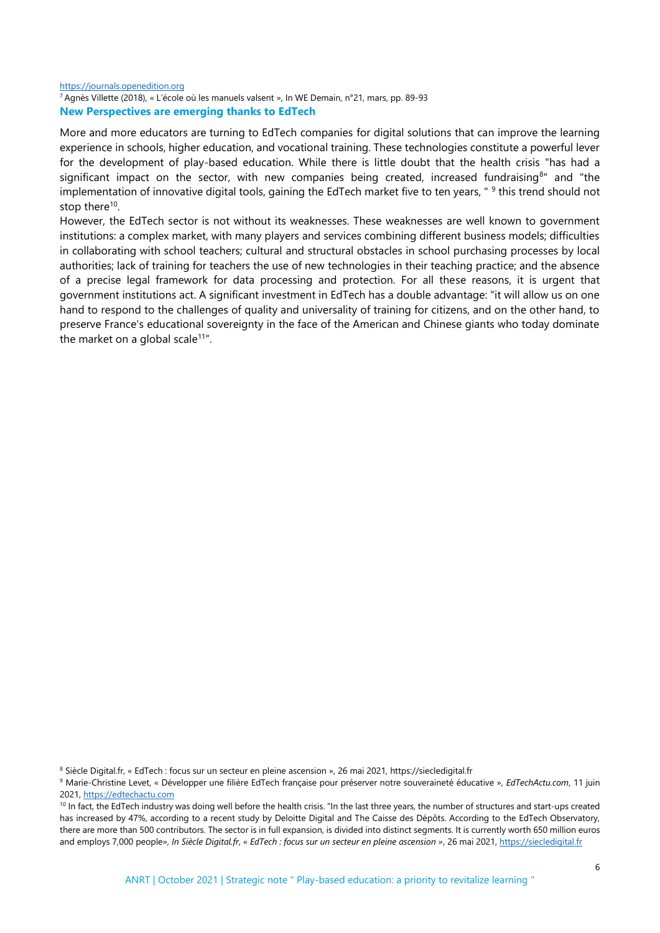#### [https://journals.openedition.org](https://journals.openedition.org/) <sup>7</sup>Agnès Villette (2018), « L'école où les manuels valsent », In WE Demain, n°21, mars, pp. 89-93 **New Perspectives are emerging thanks to EdTech**

More and more educators are turning to EdTech companies for digital solutions that can improve the learning experience in schools, higher education, and vocational training. These technologies constitute a powerful lever for the development of play-based education. While there is little doubt that the health crisis "has had a significant impact on the sector, with new companies being created, increased fundraising<sup>8</sup>" and "the implementation of innovative digital tools, gaining the EdTech market five to ten years, "<sup>9</sup> this trend should not stop there<sup>10</sup>.

However, the EdTech sector is not without its weaknesses. These weaknesses are well known to government institutions: a complex market, with many players and services combining different business models; difficulties in collaborating with school teachers; cultural and structural obstacles in school purchasing processes by local authorities; lack of training for teachers the use of new technologies in their teaching practice; and the absence of a precise legal framework for data processing and protection. For all these reasons, it is urgent that government institutions act. A significant investment in EdTech has a double advantage: "it will allow us on one hand to respond to the challenges of quality and universality of training for citizens, and on the other hand, to preserve France's educational sovereignty in the face of the American and Chinese giants who today dominate the market on a global scale<sup>11"</sup>.

<sup>8</sup> Siècle Digital.fr, « EdTech : focus sur un secteur en pleine ascension », 26 mai 2021, https://siecledigital.fr

<sup>9</sup> Marie-Christine Levet, « Développer une filière EdTech française pour préserver notre souveraineté éducative », *EdTechActu.com*, 11 juin 2021[, https://edtechactu.com](https://edtechactu.com/)

<sup>&</sup>lt;sup>10</sup> In fact, the EdTech industry was doing well before the health crisis. "In the last three years, the number of structures and start-ups created has increased by 47%, according to a recent study by Deloitte Digital and The Caisse des Dépôts. According to the EdTech Observatory, there are more than 500 contributors. The sector is in full expansion, is divided into distinct segments. It is currently worth 650 million euros and employs 7,000 people», *In Siècle Digital.fr*, « *EdTech : focus sur un secteur en pleine ascension »*, 26 mai 2021[, https://siecledigital.fr](https://siecledigital.fr/)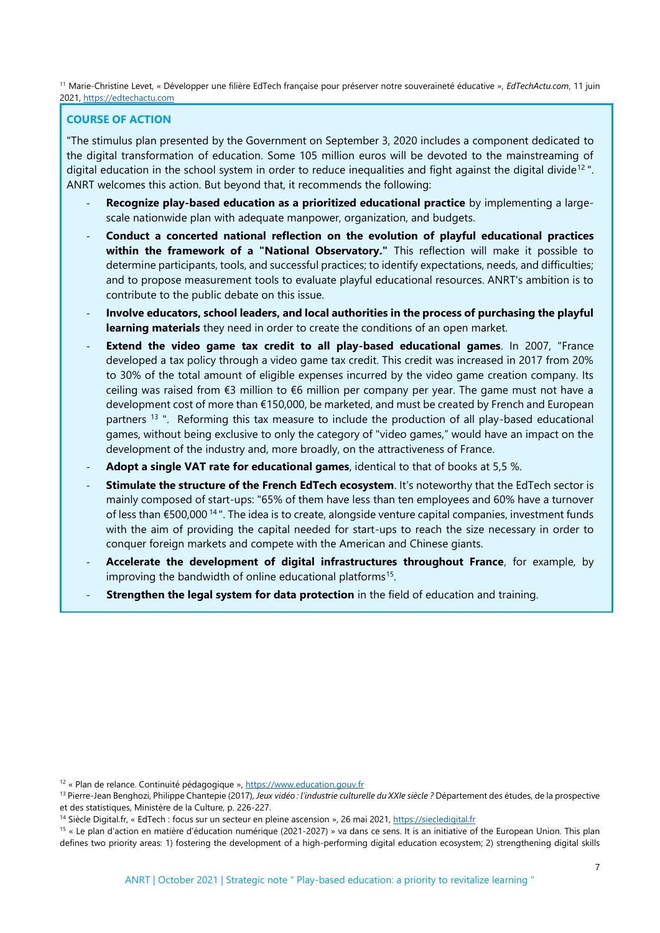<sup>11</sup> Marie-Christine Levet, « Développer une filière EdTech française pour préserver notre souveraineté éducative », *EdTechActu.com*, 11 juin 2021[, https://edtechactu.com](https://edtechactu.com/)

# **COURSE OF ACTION**

"The stimulus plan presented by the Government on September 3, 2020 includes a component dedicated to the digital transformation of education. Some 105 million euros will be devoted to the mainstreaming of digital education in the school system in order to reduce inequalities and fight against the digital divide<sup>12</sup>. ANRT welcomes this action. But beyond that, it recommends the following:

- **Recognize play-based education as a prioritized educational practice** by implementing a largescale nationwide plan with adequate manpower, organization, and budgets.
- **Conduct a concerted national reflection on the evolution of playful educational practices within the framework of a "National Observatory."** This reflection will make it possible to determine participants, tools, and successful practices; to identify expectations, needs, and difficulties; and to propose measurement tools to evaluate playful educational resources. ANRT's ambition is to contribute to the public debate on this issue.
- **Involve educators, school leaders, and local authorities in the process of purchasing the playful learning materials** they need in order to create the conditions of an open market.
- **Extend the video game tax credit to all play-based educational games.** In 2007, "France developed a tax policy through a video game tax credit. This credit was increased in 2017 from 20% to 30% of the total amount of eligible expenses incurred by the video game creation company. Its ceiling was raised from €3 million to €6 million per company per year. The game must not have a development cost of more than €150,000, be marketed, and must be created by French and European partners<sup>13</sup>". Reforming this tax measure to include the production of all play-based educational games, without being exclusive to only the category of "video games," would have an impact on the development of the industry and, more broadly, on the attractiveness of France.
- Adopt a single VAT rate for educational games, identical to that of books at 5,5 %.
- **Stimulate the structure of the French EdTech ecosystem**. It's noteworthy that the EdTech sector is mainly composed of start-ups: "65% of them have less than ten employees and 60% have a turnover of less than €500,000<sup>14</sup>". The idea is to create, alongside venture capital companies, investment funds with the aim of providing the capital needed for start-ups to reach the size necessary in order to conquer foreign markets and compete with the American and Chinese giants.
- **Accelerate the development of digital infrastructures throughout France**, for example, by improving the bandwidth of online educational platforms<sup>15</sup>.
- **Strengthen the legal system for data protection** in the field of education and training.

<sup>15</sup> « Le plan d'action en matière d'éducation numérique (2021-2027) » va dans ce sens. It is an initiative of the European Union. This plan defines two priority areas: 1) fostering the development of a high-performing digital education ecosystem; 2) strengthening digital skills

<sup>&</sup>lt;sup>12</sup> « Plan de relance. Continuité pédagogique »[, https://www.education.gouv.fr](https://www.education.gouv.fr/)

<sup>13</sup> Pierre-Jean Benghozi, Philippe Chantepie (2017), *Jeux vidéo : l'industrie culturelle du XXIe siècle ?* Département des études, de la prospective et des statistiques, Ministère de la Culture, p. 226-227.

<sup>&</sup>lt;sup>14</sup> Siècle Digital.fr, « EdTech : focus sur un secteur en pleine ascension », 26 mai 2021[, https://siecledigital.fr](https://siecledigital.fr/)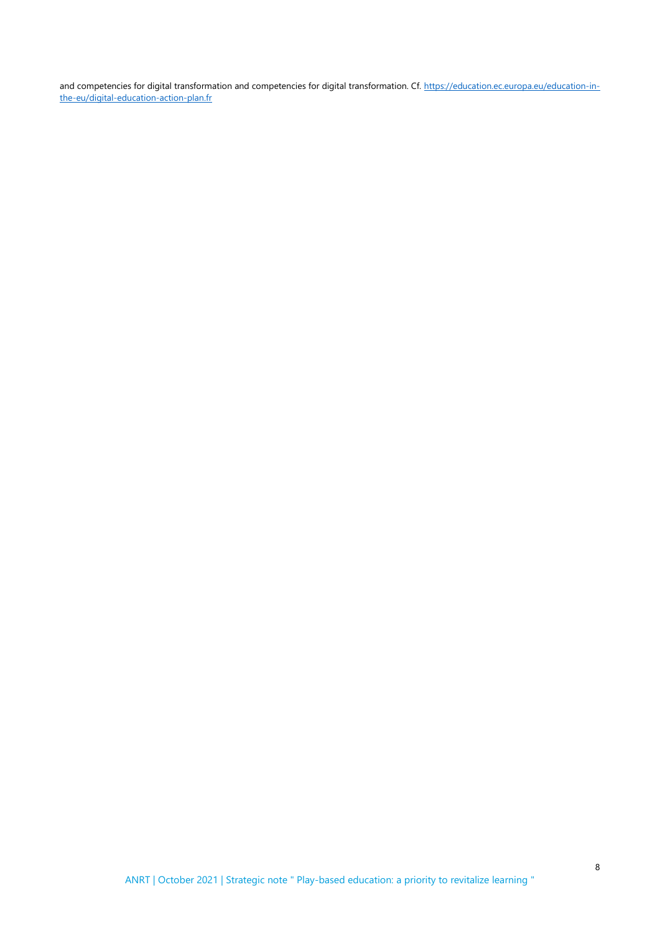and competencies for digital transformation and competencies for digital transformation. Cf[. https://education.ec.europa.eu/education-in](https://education.ec.europa.eu/education-in-the-eu/digital-education-action-plan.fr)[the-eu/digital-education-action-plan.fr](https://education.ec.europa.eu/education-in-the-eu/digital-education-action-plan.fr)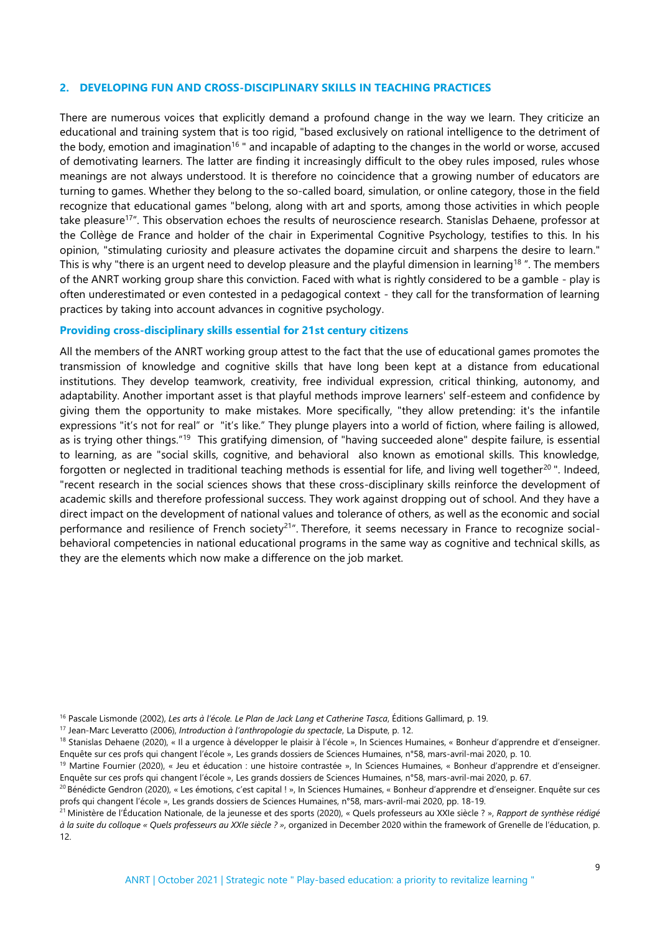#### **2. DEVELOPING FUN AND CROSS-DISCIPLINARY SKILLS IN TEACHING PRACTICES**

There are numerous voices that explicitly demand a profound change in the way we learn. They criticize an educational and training system that is too rigid, "based exclusively on rational intelligence to the detriment of the body, emotion and imagination<sup>16</sup> " and incapable of adapting to the changes in the world or worse, accused of demotivating learners. The latter are finding it increasingly difficult to the obey rules imposed, rules whose meanings are not always understood. It is therefore no coincidence that a growing number of educators are turning to games. Whether they belong to the so-called board, simulation, or online category, those in the field recognize that educational games "belong, along with art and sports, among those activities in which people take pleasure<sup>17</sup>". This observation echoes the results of neuroscience research. Stanislas Dehaene, professor at the Collège de France and holder of the chair in Experimental Cognitive Psychology, testifies to this. In his opinion, "stimulating curiosity and pleasure activates the dopamine circuit and sharpens the desire to learn." This is why "there is an urgent need to develop pleasure and the playful dimension in learning<sup>18</sup>". The members of the ANRT working group share this conviction. Faced with what is rightly considered to be a gamble - play is often underestimated or even contested in a pedagogical context - they call for the transformation of learning practices by taking into account advances in cognitive psychology.

#### **Providing cross-disciplinary skills essential for 21st century citizens**

All the members of the ANRT working group attest to the fact that the use of educational games promotes the transmission of knowledge and cognitive skills that have long been kept at a distance from educational institutions. They develop teamwork, creativity, free individual expression, critical thinking, autonomy, and adaptability. Another important asset is that playful methods improve learners' self-esteem and confidence by giving them the opportunity to make mistakes. More specifically, "they allow pretending: it's the infantile expressions "it's not for real" or "it's like." They plunge players into a world of fiction, where failing is allowed, as is trying other things."<sup>19</sup> This gratifying dimension, of "having succeeded alone" despite failure, is essential to learning, as are "social skills, cognitive, and behavioral also known as emotional skills. This knowledge, forgotten or neglected in traditional teaching methods is essential for life, and living well together<sup>20</sup>". Indeed, "recent research in the social sciences shows that these cross-disciplinary skills reinforce the development of academic skills and therefore professional success. They work against dropping out of school. And they have a direct impact on the development of national values and tolerance of others, as well as the economic and social performance and resilience of French society<sup>21</sup>". Therefore, it seems necessary in France to recognize socialbehavioral competencies in national educational programs in the same way as cognitive and technical skills, as they are the elements which now make a difference on the job market.

<sup>16</sup> Pascale Lismonde (2002), *Les arts à l'école. Le Plan de Jack Lang et Catherine Tasca*, Éditions Gallimard, p. 19.

<sup>17</sup> Jean-Marc Leveratto (2006), *Introduction à l'anthropologie du spectacle*, La Dispute, p. 12.

<sup>&</sup>lt;sup>18</sup> Stanislas Dehaene (2020), « Il a urgence à développer le plaisir à l'école », In Sciences Humaines, « Bonheur d'apprendre et d'enseigner. Enquête sur ces profs qui changent l'école », Les grands dossiers de Sciences Humaines, n°58, mars-avril-mai 2020, p. 10.

<sup>&</sup>lt;sup>19</sup> Martine Fournier (2020), « Jeu et éducation : une histoire contrastée », In Sciences Humaines, « Bonheur d'apprendre et d'enseigner. Enquête sur ces profs qui changent l'école », Les grands dossiers de Sciences Humaines, n°58, mars-avril-mai 2020, p. 67.

<sup>&</sup>lt;sup>20</sup> Bénédicte Gendron (2020), « Les émotions, c'est capital ! », In Sciences Humaines, « Bonheur d'apprendre et d'enseigner. Enquête sur ces profs qui changent l'école », Les grands dossiers de Sciences Humaines, n°58, mars-avril-mai 2020, pp. 18-19.

<sup>21</sup>Ministère de l'Éducation Nationale, de la jeunesse et des sports (2020), « Quels professeurs au XXIe siècle ? », *Rapport de synthèse rédigé à la suite du colloque « Quels professeurs au XXIe siècle ? »*, organized in December 2020 within the framework of Grenelle de l'éducation, p. 12.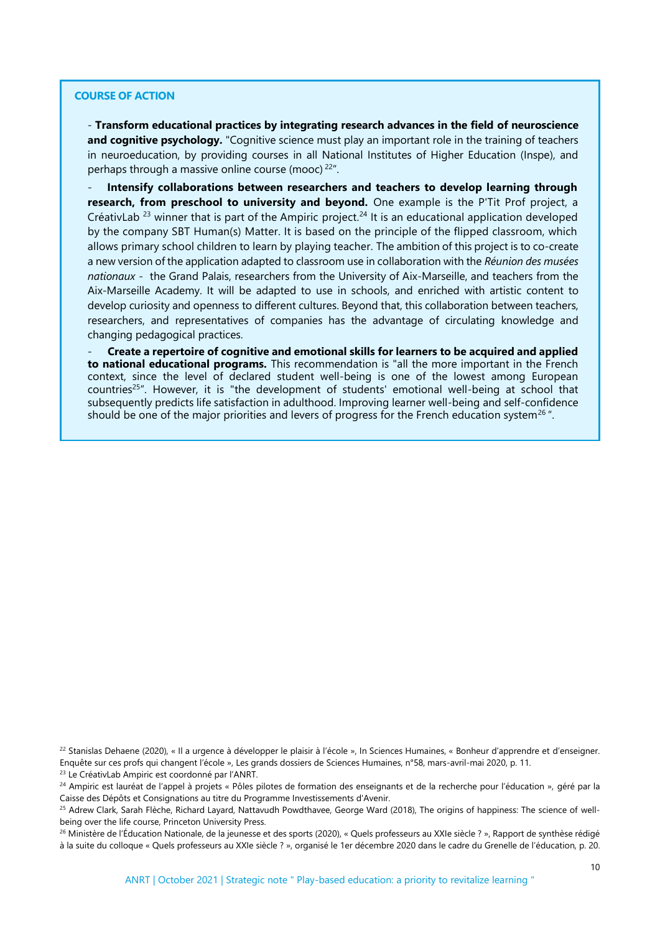## **COURSE OF ACTION**

- **Transform educational practices by integrating research advances in the field of neuroscience and cognitive psychology.** "Cognitive science must play an important role in the training of teachers in neuroeducation, by providing courses in all National Institutes of Higher Education (Inspe), and perhaps through a massive online course (mooc)<sup>22"</sup>.

- **Intensify collaborations between researchers and teachers to develop learning through research, from preschool to university and beyond.** One example is the P'Tit Prof project, a CréativLab<sup>23</sup> winner that is part of the Ampiric project.<sup>24</sup> It is an educational application developed by the company SBT Human(s) Matter. It is based on the principle of the flipped classroom, which allows primary school children to learn by playing teacher. The ambition of this project is to co-create a new version of the application adapted to classroom use in collaboration with the *Réunion des musées nationaux* - the Grand Palais, researchers from the University of Aix-Marseille, and teachers from the Aix-Marseille Academy. It will be adapted to use in schools, and enriched with artistic content to develop curiosity and openness to different cultures. Beyond that, this collaboration between teachers, researchers, and representatives of companies has the advantage of circulating knowledge and changing pedagogical practices.

- **Create a repertoire of cognitive and emotional skills for learners to be acquired and applied to national educational programs.** This recommendation is "all the more important in the French context, since the level of declared student well-being is one of the lowest among European countries<sup>25"</sup>. However, it is "the development of students' emotional well-being at school that subsequently predicts life satisfaction in adulthood. Improving learner well-being and self-confidence should be one of the major priorities and levers of progress for the French education system<sup>26</sup>.

<sup>22</sup> Stanislas Dehaene (2020), « Il a urgence à développer le plaisir à l'école », In Sciences Humaines, « Bonheur d'apprendre et d'enseigner. Enquête sur ces profs qui changent l'école », Les grands dossiers de Sciences Humaines, n°58, mars-avril-mai 2020, p. 11.

<sup>23</sup> Le CréativLab Ampiric est coordonné par l'ANRT.

<sup>24</sup> Ampiric est lauréat de l'appel à projets « Pôles pilotes de formation des enseignants et de la recherche pour l'éducation », géré par la Caisse des Dépôts et Consignations au titre du Programme Investissements d'Avenir.

<sup>25</sup> Adrew Clark, Sarah Flèche, Richard Layard, Nattavudh Powdthavee, George Ward (2018), The origins of happiness: The science of wellbeing over the life course, Princeton University Press.

<sup>26</sup> Ministère de l'Éducation Nationale, de la jeunesse et des sports (2020), « Quels professeurs au XXIe siècle ? », Rapport de synthèse rédigé à la suite du colloque « Quels professeurs au XXIe siècle ? », organisé le 1er décembre 2020 dans le cadre du Grenelle de l'éducation, p. 20.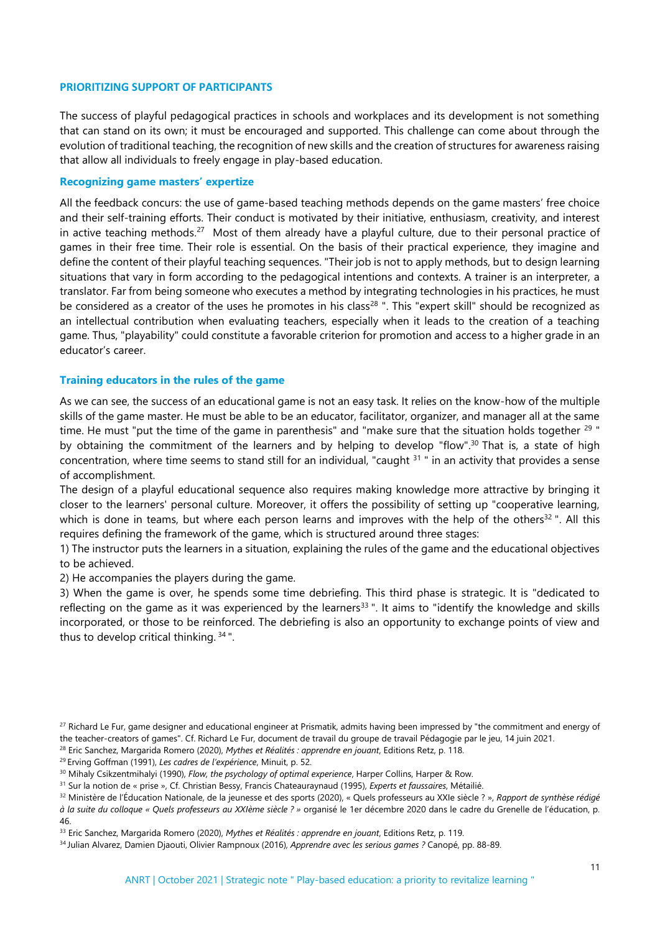#### **PRIORITIZING SUPPORT OF PARTICIPANTS**

The success of playful pedagogical practices in schools and workplaces and its development is not something that can stand on its own; it must be encouraged and supported. This challenge can come about through the evolution of traditional teaching, the recognition of new skills and the creation of structures for awareness raising that allow all individuals to freely engage in play-based education.

#### **Recognizing game masters' expertize**

All the feedback concurs: the use of game-based teaching methods depends on the game masters' free choice and their self-training efforts. Their conduct is motivated by their initiative, enthusiasm, creativity, and interest in active teaching methods.<sup>27</sup> Most of them already have a playful culture, due to their personal practice of games in their free time. Their role is essential. On the basis of their practical experience, they imagine and define the content of their playful teaching sequences. "Their job is not to apply methods, but to design learning situations that vary in form according to the pedagogical intentions and contexts. A trainer is an interpreter, a translator. Far from being someone who executes a method by integrating technologies in his practices, he must be considered as a creator of the uses he promotes in his class<sup>28</sup>". This "expert skill" should be recognized as an intellectual contribution when evaluating teachers, especially when it leads to the creation of a teaching game. Thus, "playability" could constitute a favorable criterion for promotion and access to a higher grade in an educator's career.

#### **Training educators in the rules of the game**

As we can see, the success of an educational game is not an easy task. It relies on the know-how of the multiple skills of the game master. He must be able to be an educator, facilitator, organizer, and manager all at the same time. He must "put the time of the game in parenthesis" and "make sure that the situation holds together <sup>29</sup> " by obtaining the commitment of the learners and by helping to develop "flow".<sup>30</sup> That is, a state of high concentration, where time seems to stand still for an individual, "caught  $31$ " in an activity that provides a sense of accomplishment.

The design of a playful educational sequence also requires making knowledge more attractive by bringing it closer to the learners' personal culture. Moreover, it offers the possibility of setting up "cooperative learning, which is done in teams, but where each person learns and improves with the help of the others<sup>32</sup>. All this requires defining the framework of the game, which is structured around three stages:

1) The instructor puts the learners in a situation, explaining the rules of the game and the educational objectives to be achieved.

2) He accompanies the players during the game.

3) When the game is over, he spends some time debriefing. This third phase is strategic. It is "dedicated to reflecting on the game as it was experienced by the learners<sup>33</sup>". It aims to "identify the knowledge and skills incorporated, or those to be reinforced. The debriefing is also an opportunity to exchange points of view and thus to develop critical thinking. 34".

<sup>&</sup>lt;sup>27</sup> Richard Le Fur, game designer and educational engineer at Prismatik, admits having been impressed by "the commitment and energy of the teacher-creators of games". Cf. Richard Le Fur, document de travail du groupe de travail Pédagogie par le jeu, 14 juin 2021.

<sup>28</sup> Eric Sanchez, Margarida Romero (2020), *Mythes et Réalités : apprendre en jouant*, Editions Retz, p. 118.

<sup>29</sup>Erving Goffman (1991), *Les cadres de l'expérience*, Minuit, p. 52.

<sup>30</sup> Mihaly Csikzentmihalyi (1990), *Flow, the psychology of optimal experience*, Harper Collins, Harper & Row.

<sup>31</sup> Sur la notion de « prise », Cf. Christian Bessy, Francis Chateauraynaud (1995), *Experts et faussaires*, Métailié.

<sup>32</sup> Ministère de l'Éducation Nationale, de la jeunesse et des sports (2020), « Quels professeurs au XXIe siècle ? », *Rapport de synthèse rédigé à la suite du colloque « Quels professeurs au XXIème siècle ? »* organisé le 1er décembre 2020 dans le cadre du Grenelle de l'éducation, p. 46.

<sup>33</sup> Eric Sanchez, Margarida Romero (2020), *Mythes et Réalités : apprendre en jouant*, Editions Retz, p. 119.

<sup>34</sup>Julian Alvarez, Damien Djaouti, Olivier Rampnoux (2016), *Apprendre avec les serious games ?* Canopé, pp. 88-89.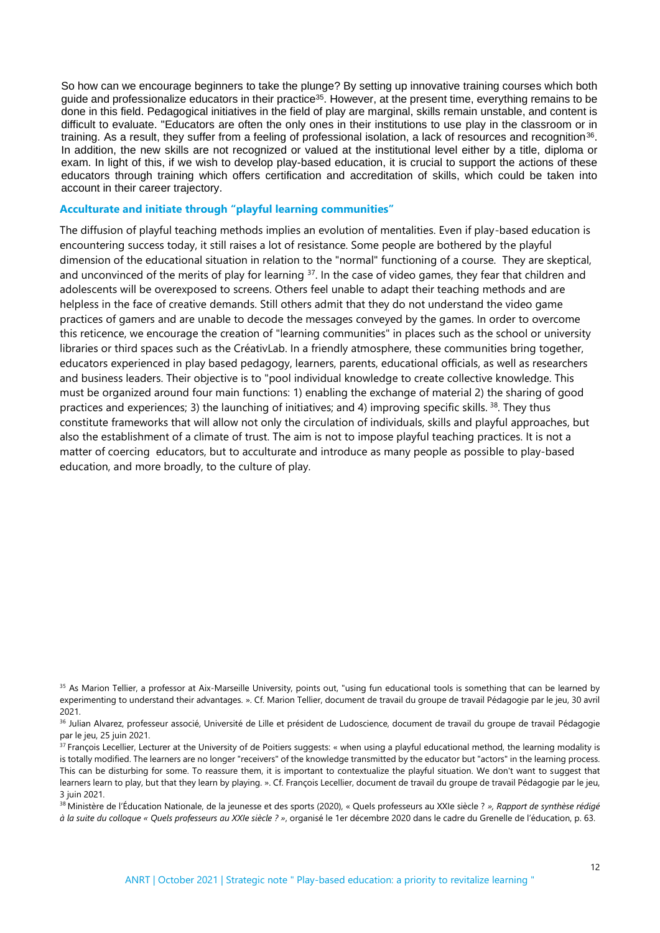So how can we encourage beginners to take the plunge? By setting up innovative training courses which both guide and professionalize educators in their practice<sup>35</sup>. However, at the present time, everything remains to be done in this field. Pedagogical initiatives in the field of play are marginal, skills remain unstable, and content is difficult to evaluate. "Educators are often the only ones in their institutions to use play in the classroom or in training. As a result, they suffer from a feeling of professional isolation, a lack of resources and recognition<sup>36</sup>. In addition, the new skills are not recognized or valued at the institutional level either by a title, diploma or exam. In light of this, if we wish to develop play-based education, it is crucial to support the actions of these educators through training which offers certification and accreditation of skills, which could be taken into account in their career trajectory.

#### **Acculturate and initiate through "playful learning communities"**

The diffusion of playful teaching methods implies an evolution of mentalities. Even if play-based education is encountering success today, it still raises a lot of resistance. Some people are bothered by the playful dimension of the educational situation in relation to the "normal" functioning of a course. They are skeptical, and unconvinced of the merits of play for learning <sup>37</sup>. In the case of video games, they fear that children and adolescents will be overexposed to screens. Others feel unable to adapt their teaching methods and are helpless in the face of creative demands. Still others admit that they do not understand the video game practices of gamers and are unable to decode the messages conveyed by the games. In order to overcome this reticence, we encourage the creation of "learning communities" in places such as the school or university libraries or third spaces such as the CréativLab. In a friendly atmosphere, these communities bring together, educators experienced in play based pedagogy, learners, parents, educational officials, as well as researchers and business leaders. Their objective is to "pool individual knowledge to create collective knowledge. This must be organized around four main functions: 1) enabling the exchange of material 2) the sharing of good practices and experiences; 3) the launching of initiatives; and 4) improving specific skills. <sup>38</sup>. They thus constitute frameworks that will allow not only the circulation of individuals, skills and playful approaches, but also the establishment of a climate of trust. The aim is not to impose playful teaching practices. It is not a matter of coercing educators, but to acculturate and introduce as many people as possible to play-based education, and more broadly, to the culture of play.

<sup>38</sup>Ministère de l'Éducation Nationale, de la jeunesse et des sports (2020), « Quels professeurs au XXIe siècle ? *», Rapport de synthèse rédigé à la suite du colloque « Quels professeurs au XXIe siècle ? »*, organisé le 1er décembre 2020 dans le cadre du Grenelle de l'éducation, p. 63.

<sup>&</sup>lt;sup>35</sup> As Marion Tellier, a professor at Aix-Marseille University, points out, "using fun educational tools is something that can be learned by experimenting to understand their advantages. ». Cf. Marion Tellier, document de travail du groupe de travail Pédagogie par le jeu, 30 avril 2021.

<sup>36</sup> Julian Alvarez, professeur associé, Université de Lille et président de Ludoscience, document de travail du groupe de travail Pédagogie par le jeu, 25 juin 2021.

<sup>&</sup>lt;sup>37</sup> François Lecellier, Lecturer at the University of de Poitiers suggests: « when using a playful educational method, the learning modality is is totally modified. The learners are no longer "receivers" of the knowledge transmitted by the educator but "actors" in the learning process. This can be disturbing for some. To reassure them, it is important to contextualize the playful situation. We don't want to suggest that learners learn to play, but that they learn by playing. ». Cf. François Lecellier, document de travail du groupe de travail Pédagogie par le jeu, 3 juin 2021.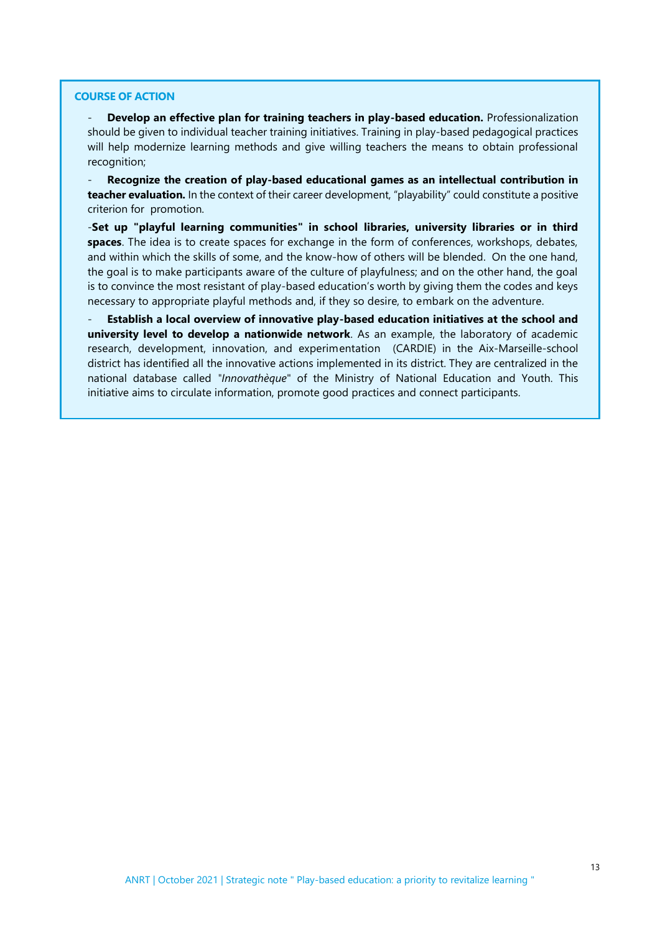#### **COURSE OF ACTION**

- **Develop an effective plan for training teachers in play-based education.** Professionalization should be given to individual teacher training initiatives. Training in play-based pedagogical practices will help modernize learning methods and give willing teachers the means to obtain professional recognition;

- **Recognize the creation of play-based educational games as an intellectual contribution in teacher evaluation.** In the context of their career development, "playability" could constitute a positive criterion for promotion.

-**Set up "playful learning communities" in school libraries, university libraries or in third spaces**. The idea is to create spaces for exchange in the form of conferences, workshops, debates, and within which the skills of some, and the know-how of others will be blended. On the one hand, the goal is to make participants aware of the culture of playfulness; and on the other hand, the goal is to convince the most resistant of play-based education's worth by giving them the codes and keys necessary to appropriate playful methods and, if they so desire, to embark on the adventure.

- **Establish a local overview of innovative play-based education initiatives at the school and university level to develop a nationwide network**. As an example, the laboratory of academic research, development, innovation, and experimentation (CARDIE) in the Aix-Marseille-school district has identified all the innovative actions implemented in its district. They are centralized in the national database called *"Innovathèque*" of the Ministry of National Education and Youth. This initiative aims to circulate information, promote good practices and connect participants.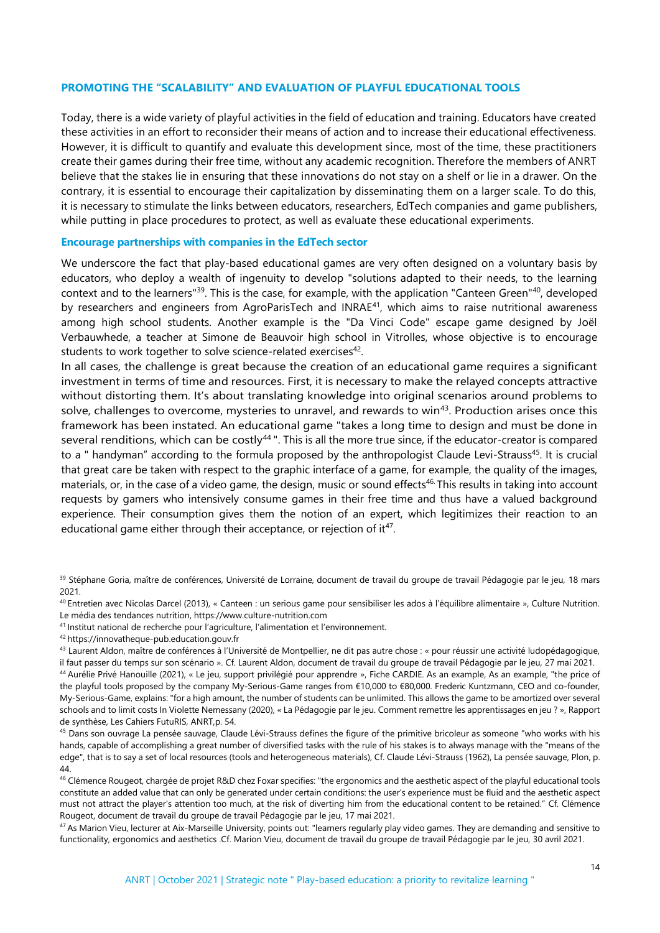#### **PROMOTING THE "SCALABILITY" AND EVALUATION OF PLAYFUL EDUCATIONAL TOOLS**

Today, there is a wide variety of playful activities in the field of education and training. Educators have created these activities in an effort to reconsider their means of action and to increase their educational effectiveness. However, it is difficult to quantify and evaluate this development since, most of the time, these practitioners create their games during their free time, without any academic recognition. Therefore the members of ANRT believe that the stakes lie in ensuring that these innovations do not stay on a shelf or lie in a drawer. On the contrary, it is essential to encourage their capitalization by disseminating them on a larger scale. To do this, it is necessary to stimulate the links between educators, researchers, EdTech companies and game publishers, while putting in place procedures to protect, as well as evaluate these educational experiments.

#### **Encourage partnerships with companies in the EdTech sector**

We underscore the fact that play-based educational games are very often designed on a voluntary basis by educators, who deploy a wealth of ingenuity to develop "solutions adapted to their needs, to the learning context and to the learners"<sup>39</sup>. This is the case, for example, with the application "Canteen Green"<sup>40</sup>, developed by researchers and engineers from AgroParisTech and INRAE<sup>41</sup>, which aims to raise nutritional awareness among high school students. Another example is the "Da Vinci Code" escape game designed by Joël Verbauwhede, a teacher at Simone de Beauvoir high school in Vitrolles, whose objective is to encourage students to work together to solve science-related exercises<sup>42</sup>.

In all cases, the challenge is great because the creation of an educational game requires a significant investment in terms of time and resources. First, it is necessary to make the relayed concepts attractive without distorting them. It's about translating knowledge into original scenarios around problems to solve, challenges to overcome, mysteries to unravel, and rewards to win<sup>43</sup>. Production arises once this framework has been instated. An educational game "takes a long time to design and must be done in several renditions, which can be costly<sup>44</sup>". This is all the more true since, if the educator-creator is compared to a " handyman" according to the formula proposed by the anthropologist Claude Levi-Strauss<sup>45</sup>. It is crucial that great care be taken with respect to the graphic interface of a game, for example, the quality of the images, materials, or, in the case of a video game, the design, music or sound effects<sup>46.</sup> This results in taking into account requests by gamers who intensively consume games in their free time and thus have a valued background experience. Their consumption gives them the notion of an expert, which legitimizes their reaction to an educational game either through their acceptance, or rejection of it<sup>47</sup>.

<sup>41</sup> Institut national de recherche pour l'agriculture, l'alimentation et l'environnement.

<sup>39</sup> Stéphane Goria, maître de conférences, Université de Lorraine, document de travail du groupe de travail Pédagogie par le jeu, 18 mars 2021.

<sup>40</sup>Entretien avec Nicolas Darcel (2013), « Canteen : un serious game pour sensibiliser les ados à l'équilibre alimentaire », Culture Nutrition. Le média des tendances nutrition, https://www.culture-nutrition.com

<sup>42</sup>https://innovatheque-pub.education.gouv.fr

<sup>43</sup> Laurent Aldon, maître de conférences à l'Université de Montpellier, ne dit pas autre chose : « pour réussir une activité ludopédagogique, il faut passer du temps sur son scénario ». Cf. Laurent Aldon, document de travail du groupe de travail Pédagogie par le jeu, 27 mai 2021.

<sup>&</sup>lt;sup>44</sup> Aurélie Privé Hanouille (2021), « Le jeu, support privilégié pour apprendre », Fiche CARDIE. As an example, As an example, "the price of the playful tools proposed by the company My-Serious-Game ranges from €10,000 to €80,000. Frederic Kuntzmann, CEO and co-founder, My-Serious-Game, explains: "for a high amount, the number of students can be unlimited. This allows the game to be amortized over several schools and to limit costs In Violette Nemessany (2020), « La Pédagogie par le jeu. Comment remettre les apprentissages en jeu ? », Rapport de synthèse, Les Cahiers FutuRIS, ANRT,p. 54.

<sup>&</sup>lt;sup>45</sup> Dans son ouvrage La pensée sauvage, Claude Lévi-Strauss defines the figure of the primitive bricoleur as someone "who works with his hands, capable of accomplishing a great number of diversified tasks with the rule of his stakes is to always manage with the "means of the edge", that is to say a set of local resources (tools and heterogeneous materials), Cf. Claude Lévi-Strauss (1962), La pensée sauvage, Plon, p. 44.

<sup>&</sup>lt;sup>46</sup> Clémence Rougeot, chargée de projet R&D chez Foxar specifies: "the ergonomics and the aesthetic aspect of the playful educational tools constitute an added value that can only be generated under certain conditions: the user's experience must be fluid and the aesthetic aspect must not attract the player's attention too much, at the risk of diverting him from the educational content to be retained." Cf. Clémence Rougeot, document de travail du groupe de travail Pédagogie par le jeu, 17 mai 2021.

 $47$  As Marion Vieu, lecturer at Aix-Marseille University, points out: "learners regularly play video games. They are demanding and sensitive to functionality, ergonomics and aesthetics .Cf. Marion Vieu, document de travail du groupe de travail Pédagogie par le jeu, 30 avril 2021.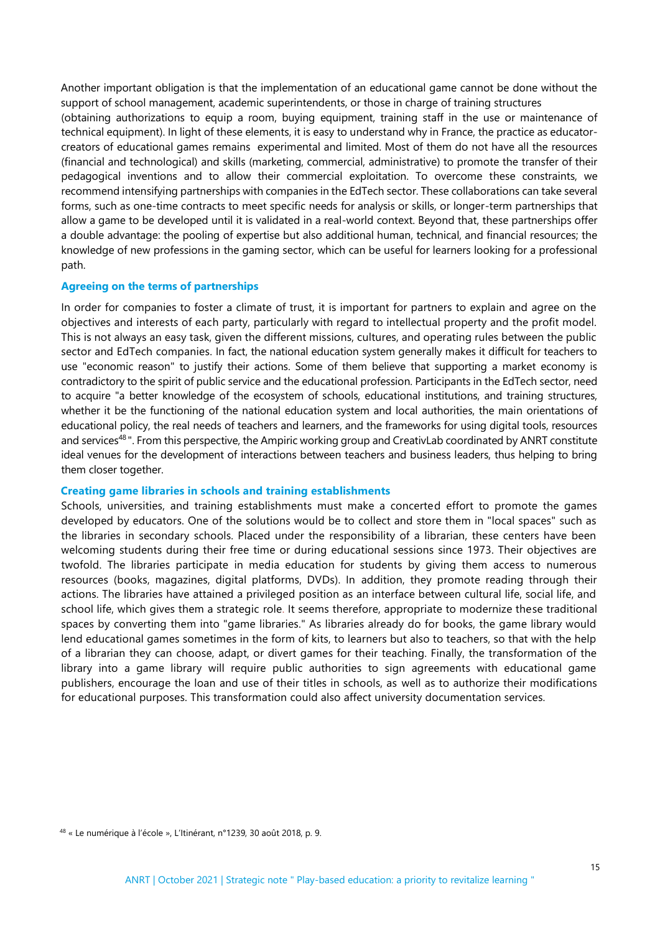Another important obligation is that the implementation of an educational game cannot be done without the support of school management, academic superintendents, or those in charge of training structures

(obtaining authorizations to equip a room, buying equipment, training staff in the use or maintenance of technical equipment). In light of these elements, it is easy to understand why in France, the practice as educatorcreators of educational games remains experimental and limited. Most of them do not have all the resources (financial and technological) and skills (marketing, commercial, administrative) to promote the transfer of their pedagogical inventions and to allow their commercial exploitation. To overcome these constraints, we recommend intensifying partnerships with companies in the EdTech sector. These collaborations can take several forms, such as one-time contracts to meet specific needs for analysis or skills, or longer-term partnerships that allow a game to be developed until it is validated in a real-world context. Beyond that, these partnerships offer a double advantage: the pooling of expertise but also additional human, technical, and financial resources; the knowledge of new professions in the gaming sector, which can be useful for learners looking for a professional path.

# **Agreeing on the terms of partnerships**

In order for companies to foster a climate of trust, it is important for partners to explain and agree on the objectives and interests of each party, particularly with regard to intellectual property and the profit model. This is not always an easy task, given the different missions, cultures, and operating rules between the public sector and EdTech companies. In fact, the national education system generally makes it difficult for teachers to use "economic reason" to justify their actions. Some of them believe that supporting a market economy is contradictory to the spirit of public service and the educational profession. Participants in the EdTech sector, need to acquire "a better knowledge of the ecosystem of schools, educational institutions, and training structures, whether it be the functioning of the national education system and local authorities, the main orientations of educational policy, the real needs of teachers and learners, and the frameworks for using digital tools, resources and services<sup>48</sup>". From this perspective, the Ampiric working group and CreativLab coordinated by ANRT constitute ideal venues for the development of interactions between teachers and business leaders, thus helping to bring them closer together.

#### **Creating game libraries in schools and training establishments**

Schools, universities, and training establishments must make a concerted effort to promote the games developed by educators. One of the solutions would be to collect and store them in "local spaces" such as the libraries in secondary schools. Placed under the responsibility of a librarian, these centers have been welcoming students during their free time or during educational sessions since 1973. Their objectives are twofold. The libraries participate in media education for students by giving them access to numerous resources (books, magazines, digital platforms, DVDs). In addition, they promote reading through their actions. The libraries have attained a privileged position as an interface between cultural life, social life, and school life, which gives them a strategic role. It seems therefore, appropriate to modernize these traditional spaces by converting them into "game libraries." As libraries already do for books, the game library would lend educational games sometimes in the form of kits, to learners but also to teachers, so that with the help of a librarian they can choose, adapt, or divert games for their teaching. Finally, the transformation of the library into a game library will require public authorities to sign agreements with educational game publishers, encourage the loan and use of their titles in schools, as well as to authorize their modifications for educational purposes. This transformation could also affect university documentation services.

<sup>48</sup> « Le numérique à l'école », L'Itinérant, n°1239, 30 août 2018, p. 9.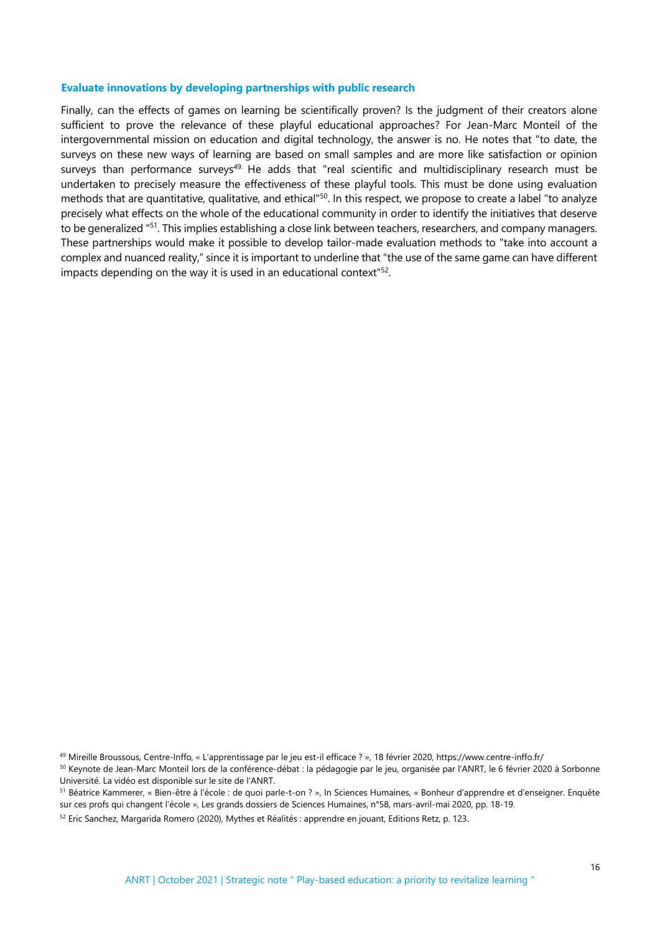#### **Evaluate innovations by developing partnerships with public research**

Finally, can the effects of games on learning be scientifically proven? Is the judgment of their creators alone sufficient to prove the relevance of these playful educational approaches? For Jean-Marc Monteil of the intergovernmental mission on education and digital technology, the answer is no. He notes that "to date, the surveys on these new ways of learning are based on small samples and are more like satisfaction or opinion surveys than performance surveys<sup>49.</sup> He adds that "real scientific and multidisciplinary research must be undertaken to precisely measure the effectiveness of these playful tools. This must be done using evaluation methods that are quantitative, qualitative, and ethical"<sup>50</sup>. In this respect, we propose to create a label "to analyze precisely what effects on the whole of the educational community in order to identify the initiatives that deserve to be generalized "<sup>51</sup>. This implies establishing a close link between teachers, researchers, and company managers. These partnerships would make it possible to develop tailor-made evaluation methods to "take into account a complex and nuanced reality," since it is important to underline that "the use of the same game can have different impacts depending on the way it is used in an educational context<sup>"52</sup>.

<sup>49</sup> Mireille Broussous, Centre-Inffo, « L'apprentissage par le jeu est-il efficace ? », 18 février 2020, https://www.centre-inffo.fr/

<sup>50</sup> Keynote de Jean-Marc Monteil lors de la conférence-débat : la pédagogie par le jeu, organisée par l'ANRT, le 6 février 2020 à Sorbonne Université. La vidéo est disponible sur le site de l'ANRT.

<sup>51</sup> Béatrice Kammerer, « Bien-être à l'école : de quoi parle-t-on ? », In Sciences Humaines, « Bonheur d'apprendre et d'enseigner. Enquête sur ces profs qui changent l'école », Les grands dossiers de Sciences Humaines, n°58, mars-avril-mai 2020, pp. 18-19.

<sup>52</sup> Eric Sanchez, Margarida Romero (2020), Mythes et Réalités : apprendre en jouant, Editions Retz, p. 123.